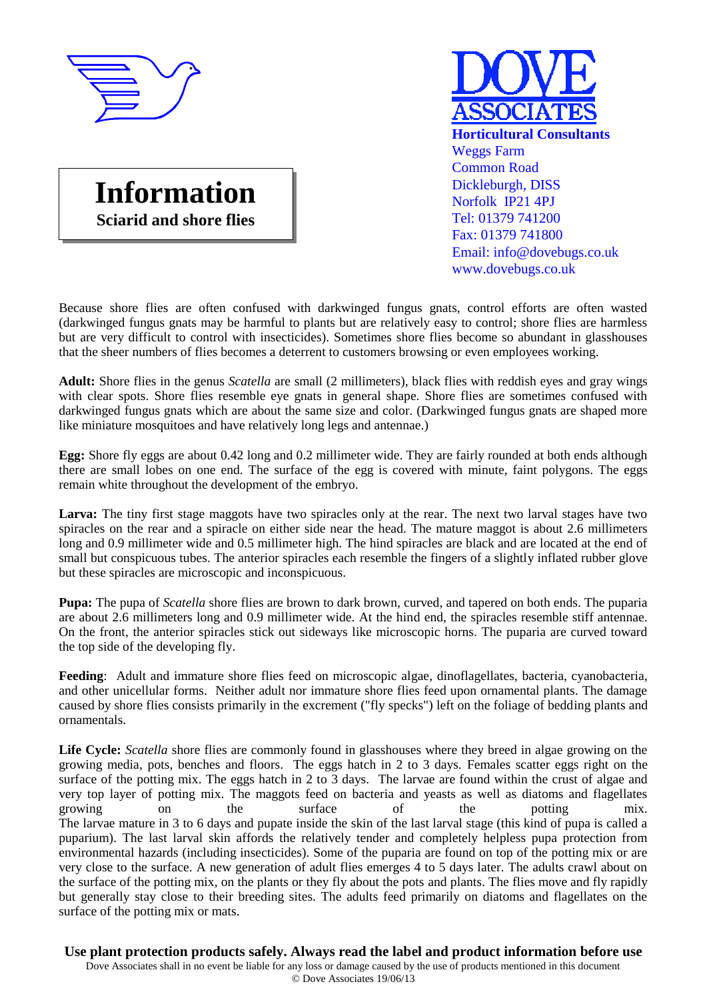





Because shore flies are often confused with darkwinged fungus gnats, control efforts are often wasted (darkwinged fungus gnats may be harmful to plants but are relatively easy to control; shore flies are harmless but are very difficult to control with insecticides). Sometimes shore flies become so abundant in glasshouses that the sheer numbers of flies becomes a deterrent to customers browsing or even employees working.

**Adult:** Shore flies in the genus *Scatella* are small (2 millimeters), black flies with reddish eyes and gray wings with clear spots. Shore flies resemble eye gnats in general shape. Shore flies are sometimes confused with darkwinged fungus gnats which are about the same size and color. (Darkwinged fungus gnats are shaped more like miniature mosquitoes and have relatively long legs and antennae.)

**Egg:** Shore fly eggs are about 0.42 long and 0.2 millimeter wide. They are fairly rounded at both ends although there are small lobes on one end. The surface of the egg is covered with minute, faint polygons. The eggs remain white throughout the development of the embryo.

**Larva:** The tiny first stage maggots have two spiracles only at the rear. The next two larval stages have two spiracles on the rear and a spiracle on either side near the head. The mature maggot is about 2.6 millimeters long and 0.9 millimeter wide and 0.5 millimeter high. The hind spiracles are black and are located at the end of small but conspicuous tubes. The anterior spiracles each resemble the fingers of a slightly inflated rubber glove but these spiracles are microscopic and inconspicuous.

**Pupa:** The pupa of *Scatella* shore flies are brown to dark brown, curved, and tapered on both ends. The puparia are about 2.6 millimeters long and 0.9 millimeter wide. At the hind end, the spiracles resemble stiff antennae. On the front, the anterior spiracles stick out sideways like microscopic horns. The puparia are curved toward the top side of the developing fly.

**Feeding**: Adult and immature shore flies feed on microscopic algae, dinoflagellates, bacteria, cyanobacteria, and other unicellular forms. Neither adult nor immature shore flies feed upon ornamental plants. The damage caused by shore flies consists primarily in the excrement ("fly specks") left on the foliage of bedding plants and ornamentals.

**Life Cycle:** *Scatella* shore flies are commonly found in glasshouses where they breed in algae growing on the growing media, pots, benches and floors. The eggs hatch in 2 to 3 days. Females scatter eggs right on the surface of the potting mix. The eggs hatch in 2 to 3 days. The larvae are found within the crust of algae and very top layer of potting mix. The maggots feed on bacteria and yeasts as well as diatoms and flagellates growing on the surface of the potting mix. The larvae mature in 3 to 6 days and pupate inside the skin of the last larval stage (this kind of pupa is called a puparium). The last larval skin affords the relatively tender and completely helpless pupa protection from environmental hazards (including insecticides). Some of the puparia are found on top of the potting mix or are very close to the surface. A new generation of adult flies emerges 4 to 5 days later. The adults crawl about on the surface of the potting mix, on the plants or they fly about the pots and plants. The flies move and fly rapidly but generally stay close to their breeding sites. The adults feed primarily on diatoms and flagellates on the surface of the potting mix or mats.

**Use plant protection products safely. Always read the label and product information before use** Dove Associates shall in no event be liable for any loss or damage caused by the use of products mentioned in this document © Dove Associates 19/06/13